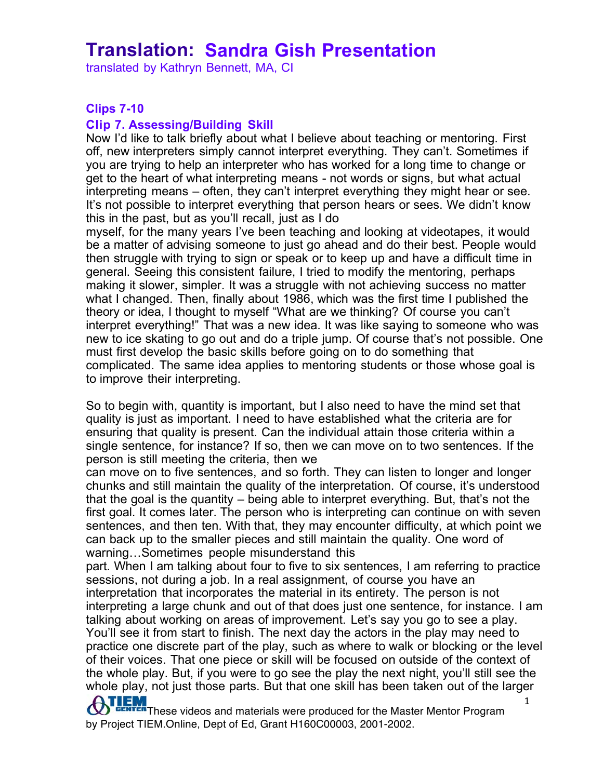translated by Kathryn Bennett, MA, CI

#### **Clips 7-10**

#### **Clip 7. Assessing/Building Skill**

Now I'd like to talk briefly about what I believe about teaching or mentoring. First off, new interpreters simply cannot interpret everything. They can't. Sometimes if you are trying to help an interpreter who has worked for a long time to change or get to the heart of what interpreting means - not words or signs, but what actual interpreting means – often, they can't interpret everything they might hear or see. It's not possible to interpret everything that person hears or sees. We didn't know this in the past, but as you'll recall, just as I do

myself, for the many years I've been teaching and looking at videotapes, it would be a matter of advising someone to just go ahead and do their best. People would then struggle with trying to sign or speak or to keep up and have a difficult time in general. Seeing this consistent failure, I tried to modify the mentoring, perhaps making it slower, simpler. It was a struggle with not achieving success no matter what I changed. Then, finally about 1986, which was the first time I published the theory or idea, I thought to myself "What are we thinking? Of course you can't interpret everything!" That was a new idea. It was like saying to someone who was new to ice skating to go out and do a triple jump. Of course that's not possible. One must first develop the basic skills before going on to do something that complicated. The same idea applies to mentoring students or those whose goal is to improve their interpreting.

So to begin with, quantity is important, but I also need to have the mind set that quality is just as important. I need to have established what the criteria are for ensuring that quality is present. Can the individual attain those criteria within a single sentence, for instance? If so, then we can move on to two sentences. If the person is still meeting the criteria, then we

can move on to five sentences, and so forth. They can listen to longer and longer chunks and still maintain the quality of the interpretation. Of course, it's understood that the goal is the quantity – being able to interpret everything. But, that's not the first goal. It comes later. The person who is interpreting can continue on with seven sentences, and then ten. With that, they may encounter difficulty, at which point we can back up to the smaller pieces and still maintain the quality. One word of warning…Sometimes people misunderstand this

part. When I am talking about four to five to six sentences, I am referring to practice sessions, not during a job. In a real assignment, of course you have an interpretation that incorporates the material in its entirety. The person is not interpreting a large chunk and out of that does just one sentence, for instance. I am talking about working on areas of improvement. Let's say you go to see a play. You'll see it from start to finish. The next day the actors in the play may need to practice one discrete part of the play, such as where to walk or blocking or the level of their voices. That one piece or skill will be focused on outside of the context of the whole play. But, if you were to go see the play the next night, you'll still see the whole play, not just those parts. But that one skill has been taken out of the larger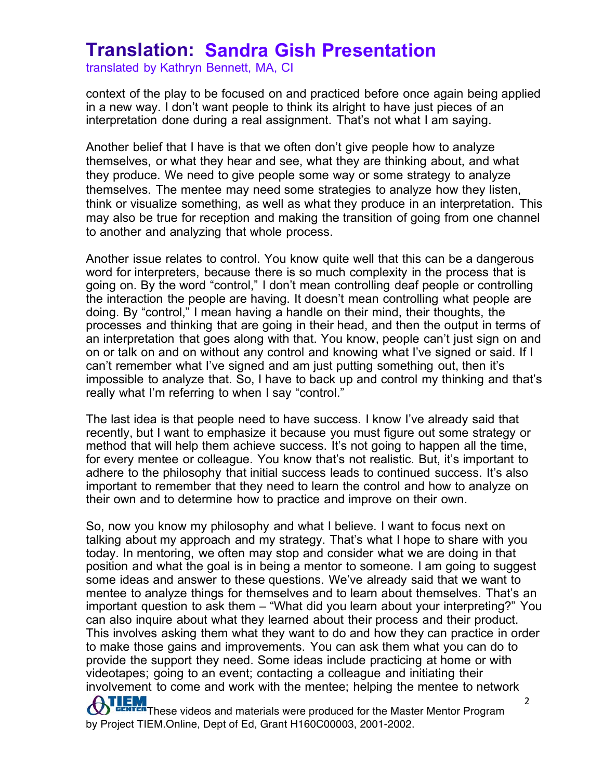translated by Kathryn Bennett, MA, CI

context of the play to be focused on and practiced before once again being applied in a new way. I don't want people to think its alright to have just pieces of an interpretation done during a real assignment. That's not what I am saying.

Another belief that I have is that we often don't give people how to analyze themselves, or what they hear and see, what they are thinking about, and what they produce. We need to give people some way or some strategy to analyze themselves. The mentee may need some strategies to analyze how they listen, think or visualize something, as well as what they produce in an interpretation. This may also be true for reception and making the transition of going from one channel to another and analyzing that whole process.

Another issue relates to control. You know quite well that this can be a dangerous word for interpreters, because there is so much complexity in the process that is going on. By the word "control," I don't mean controlling deaf people or controlling the interaction the people are having. It doesn't mean controlling what people are doing. By "control," I mean having a handle on their mind, their thoughts, the processes and thinking that are going in their head, and then the output in terms of an interpretation that goes along with that. You know, people can't just sign on and on or talk on and on without any control and knowing what I've signed or said. If I can't remember what I've signed and am just putting something out, then it's impossible to analyze that. So, I have to back up and control my thinking and that's really what I'm referring to when I say "control."

The last idea is that people need to have success. I know I've already said that recently, but I want to emphasize it because you must figure out some strategy or method that will help them achieve success. It's not going to happen all the time, for every mentee or colleague. You know that's not realistic. But, it's important to adhere to the philosophy that initial success leads to continued success. It's also important to remember that they need to learn the control and how to analyze on their own and to determine how to practice and improve on their own.

2 So, now you know my philosophy and what I believe. I want to focus next on talking about my approach and my strategy. That's what I hope to share with you today. In mentoring, we often may stop and consider what we are doing in that position and what the goal is in being a mentor to someone. I am going to suggest some ideas and answer to these questions. We've already said that we want to mentee to analyze things for themselves and to learn about themselves. That's an important question to ask them – "What did you learn about your interpreting?" You can also inquire about what they learned about their process and their product. This involves asking them what they want to do and how they can practice in order to make those gains and improvements. You can ask them what you can do to provide the support they need. Some ideas include practicing at home or with videotapes; going to an event; contacting a colleague and initiating their involvement to come and work with the mentee; helping the mentee to network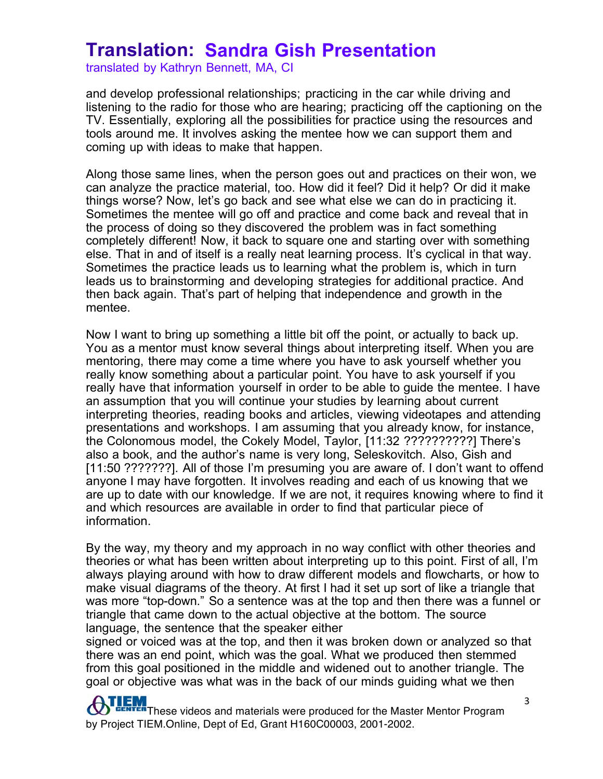translated by Kathryn Bennett, MA, CI

and develop professional relationships; practicing in the car while driving and listening to the radio for those who are hearing; practicing off the captioning on the TV. Essentially, exploring all the possibilities for practice using the resources and tools around me. It involves asking the mentee how we can support them and coming up with ideas to make that happen.

Along those same lines, when the person goes out and practices on their won, we can analyze the practice material, too. How did it feel? Did it help? Or did it make things worse? Now, let's go back and see what else we can do in practicing it. Sometimes the mentee will go off and practice and come back and reveal that in the process of doing so they discovered the problem was in fact something completely different! Now, it back to square one and starting over with something else. That in and of itself is a really neat learning process. It's cyclical in that way. Sometimes the practice leads us to learning what the problem is, which in turn leads us to brainstorming and developing strategies for additional practice. And then back again. That's part of helping that independence and growth in the mentee.

Now I want to bring up something a little bit off the point, or actually to back up. You as a mentor must know several things about interpreting itself. When you are mentoring, there may come a time where you have to ask yourself whether you really know something about a particular point. You have to ask yourself if you really have that information yourself in order to be able to guide the mentee. I have an assumption that you will continue your studies by learning about current interpreting theories, reading books and articles, viewing videotapes and attending presentations and workshops. I am assuming that you already know, for instance, the Colonomous model, the Cokely Model, Taylor, [11:32 ??????????] There's also a book, and the author's name is very long, Seleskovitch. Also, Gish and [11:50 ???????]. All of those I'm presuming you are aware of. I don't want to offend anyone I may have forgotten. It involves reading and each of us knowing that we are up to date with our knowledge. If we are not, it requires knowing where to find it and which resources are available in order to find that particular piece of information.

By the way, my theory and my approach in no way conflict with other theories and theories or what has been written about interpreting up to this point. First of all, I'm always playing around with how to draw different models and flowcharts, or how to make visual diagrams of the theory. At first I had it set up sort of like a triangle that was more "top-down." So a sentence was at the top and then there was a funnel or triangle that came down to the actual objective at the bottom. The source language, the sentence that the speaker either

signed or voiced was at the top, and then it was broken down or analyzed so that there was an end point, which was the goal. What we produced then stemmed from this goal positioned in the middle and widened out to another triangle. The goal or objective was what was in the back of our minds guiding what we then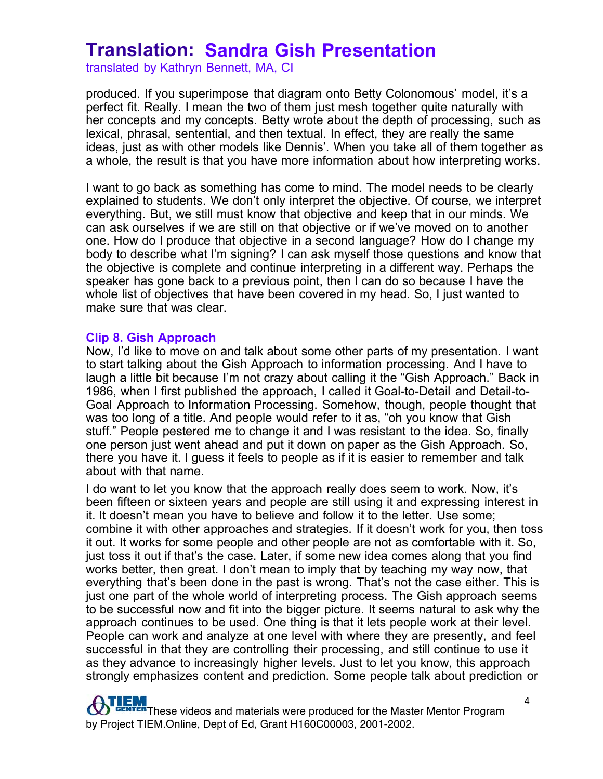translated by Kathryn Bennett, MA, CI

produced. If you superimpose that diagram onto Betty Colonomous' model, it's a perfect fit. Really. I mean the two of them just mesh together quite naturally with her concepts and my concepts. Betty wrote about the depth of processing, such as lexical, phrasal, sentential, and then textual. In effect, they are really the same ideas, just as with other models like Dennis'. When you take all of them together as a whole, the result is that you have more information about how interpreting works.

I want to go back as something has come to mind. The model needs to be clearly explained to students. We don't only interpret the objective. Of course, we interpret everything. But, we still must know that objective and keep that in our minds. We can ask ourselves if we are still on that objective or if we've moved on to another one. How do I produce that objective in a second language? How do I change my body to describe what I'm signing? I can ask myself those questions and know that the objective is complete and continue interpreting in a different way. Perhaps the speaker has gone back to a previous point, then I can do so because I have the whole list of objectives that have been covered in my head. So, I just wanted to make sure that was clear.

#### **Clip 8. Gish Approach**

Now, I'd like to move on and talk about some other parts of my presentation. I want to start talking about the Gish Approach to information processing. And I have to laugh a little bit because I'm not crazy about calling it the "Gish Approach." Back in 1986, when I first published the approach, I called it Goal-to-Detail and Detail-to-Goal Approach to Information Processing. Somehow, though, people thought that was too long of a title. And people would refer to it as, "oh you know that Gish stuff." People pestered me to change it and I was resistant to the idea. So, finally one person just went ahead and put it down on paper as the Gish Approach. So, there you have it. I guess it feels to people as if it is easier to remember and talk about with that name.

I do want to let you know that the approach really does seem to work. Now, it's been fifteen or sixteen years and people are still using it and expressing interest in it. It doesn't mean you have to believe and follow it to the letter. Use some; combine it with other approaches and strategies. If it doesn't work for you, then toss it out. It works for some people and other people are not as comfortable with it. So, just toss it out if that's the case. Later, if some new idea comes along that you find works better, then great. I don't mean to imply that by teaching my way now, that everything that's been done in the past is wrong. That's not the case either. This is just one part of the whole world of interpreting process. The Gish approach seems to be successful now and fit into the bigger picture. It seems natural to ask why the approach continues to be used. One thing is that it lets people work at their level. People can work and analyze at one level with where they are presently, and feel successful in that they are controlling their processing, and still continue to use it as they advance to increasingly higher levels. Just to let you know, this approach strongly emphasizes content and prediction. Some people talk about prediction or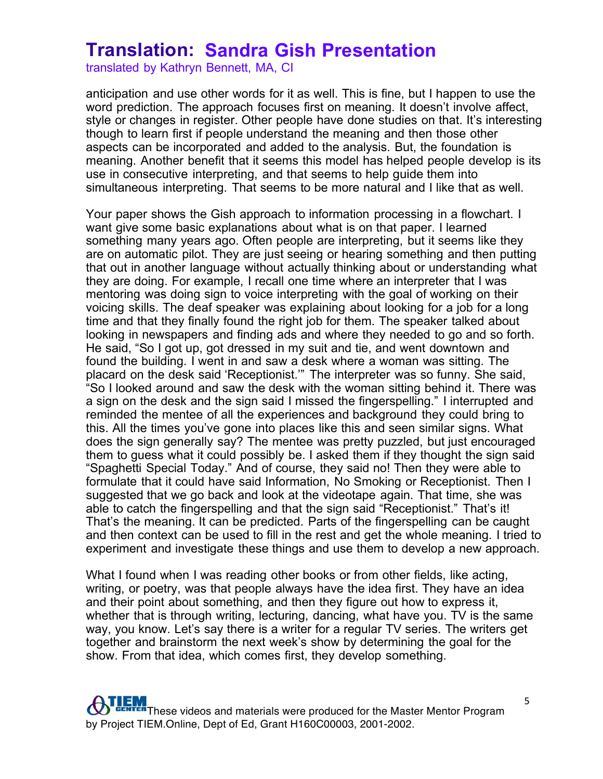translated by Kathryn Bennett, MA, CI

anticipation and use other words for it as well. This is fine, but I happen to use the word prediction. The approach focuses first on meaning. It doesn't involve affect, style or changes in register. Other people have done studies on that. It's interesting though to learn first if people understand the meaning and then those other aspects can be incorporated and added to the analysis. But, the foundation is meaning. Another benefit that it seems this model has helped people develop is its use in consecutive interpreting, and that seems to help guide them into simultaneous interpreting. That seems to be more natural and I like that as well.

Your paper shows the Gish approach to information processing in a flowchart. I want give some basic explanations about what is on that paper. I learned something many years ago. Often people are interpreting, but it seems like they are on automatic pilot. They are just seeing or hearing something and then putting that out in another language without actually thinking about or understanding what they are doing. For example, I recall one time where an interpreter that I was mentoring was doing sign to voice interpreting with the goal of working on their voicing skills. The deaf speaker was explaining about looking for a job for a long time and that they finally found the right job for them. The speaker talked about looking in newspapers and finding ads and where they needed to go and so forth. He said, "So I got up, got dressed in my suit and tie, and went downtown and found the building. I went in and saw a desk where a woman was sitting. The placard on the desk said 'Receptionist.'" The interpreter was so funny. She said, "So I looked around and saw the desk with the woman sitting behind it. There was a sign on the desk and the sign said I missed the fingerspelling." I interrupted and reminded the mentee of all the experiences and background they could bring to this. All the times you've gone into places like this and seen similar signs. What does the sign generally say? The mentee was pretty puzzled, but just encouraged them to guess what it could possibly be. I asked them if they thought the sign said "Spaghetti Special Today." And of course, they said no! Then they were able to formulate that it could have said Information, No Smoking or Receptionist. Then I suggested that we go back and look at the videotape again. That time, she was able to catch the fingerspelling and that the sign said "Receptionist." That's it! That's the meaning. It can be predicted. Parts of the fingerspelling can be caught and then context can be used to fill in the rest and get the whole meaning. I tried to experiment and investigate these things and use them to develop a new approach.

What I found when I was reading other books or from other fields, like acting, writing, or poetry, was that people always have the idea first. They have an idea and their point about something, and then they figure out how to express it, whether that is through writing, lecturing, dancing, what have you. TV is the same way, you know. Let's say there is a writer for a regular TV series. The writers get together and brainstorm the next week's show by determining the goal for the show. From that idea, which comes first, they develop something.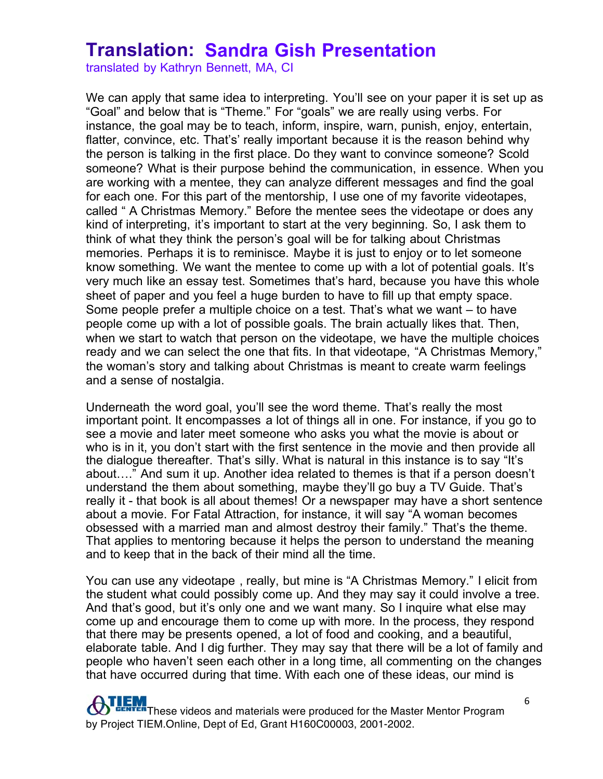translated by Kathryn Bennett, MA, CI

We can apply that same idea to interpreting. You'll see on your paper it is set up as "Goal" and below that is "Theme." For "goals" we are really using verbs. For instance, the goal may be to teach, inform, inspire, warn, punish, enjoy, entertain, flatter, convince, etc. That's' really important because it is the reason behind why the person is talking in the first place. Do they want to convince someone? Scold someone? What is their purpose behind the communication, in essence. When you are working with a mentee, they can analyze different messages and find the goal for each one. For this part of the mentorship, I use one of my favorite videotapes, called " A Christmas Memory." Before the mentee sees the videotape or does any kind of interpreting, it's important to start at the very beginning. So, I ask them to think of what they think the person's goal will be for talking about Christmas memories. Perhaps it is to reminisce. Maybe it is just to enjoy or to let someone know something. We want the mentee to come up with a lot of potential goals. It's very much like an essay test. Sometimes that's hard, because you have this whole sheet of paper and you feel a huge burden to have to fill up that empty space. Some people prefer a multiple choice on a test. That's what we want – to have people come up with a lot of possible goals. The brain actually likes that. Then, when we start to watch that person on the videotape, we have the multiple choices ready and we can select the one that fits. In that videotape, "A Christmas Memory," the woman's story and talking about Christmas is meant to create warm feelings and a sense of nostalgia.

Underneath the word goal, you'll see the word theme. That's really the most important point. It encompasses a lot of things all in one. For instance, if you go to see a movie and later meet someone who asks you what the movie is about or who is in it, you don't start with the first sentence in the movie and then provide all the dialogue thereafter. That's silly. What is natural in this instance is to say "It's about…." And sum it up. Another idea related to themes is that if a person doesn't understand the them about something, maybe they'll go buy a TV Guide. That's really it - that book is all about themes! Or a newspaper may have a short sentence about a movie. For Fatal Attraction, for instance, it will say "A woman becomes obsessed with a married man and almost destroy their family." That's the theme. That applies to mentoring because it helps the person to understand the meaning and to keep that in the back of their mind all the time.

You can use any videotape , really, but mine is "A Christmas Memory." I elicit from the student what could possibly come up. And they may say it could involve a tree. And that's good, but it's only one and we want many. So I inquire what else may come up and encourage them to come up with more. In the process, they respond that there may be presents opened, a lot of food and cooking, and a beautiful, elaborate table. And I dig further. They may say that there will be a lot of family and people who haven't seen each other in a long time, all commenting on the changes that have occurred during that time. With each one of these ideas, our mind is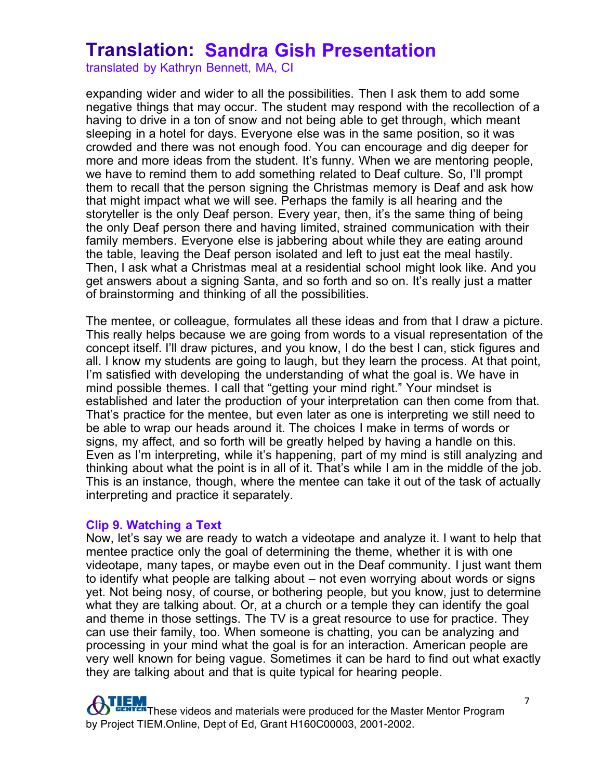translated by Kathryn Bennett, MA, CI

expanding wider and wider to all the possibilities. Then I ask them to add some negative things that may occur. The student may respond with the recollection of a having to drive in a ton of snow and not being able to get through, which meant sleeping in a hotel for days. Everyone else was in the same position, so it was crowded and there was not enough food. You can encourage and dig deeper for more and more ideas from the student. It's funny. When we are mentoring people, we have to remind them to add something related to Deaf culture. So, I'll prompt them to recall that the person signing the Christmas memory is Deaf and ask how that might impact what we will see. Perhaps the family is all hearing and the storyteller is the only Deaf person. Every year, then, it's the same thing of being the only Deaf person there and having limited, strained communication with their family members. Everyone else is jabbering about while they are eating around the table, leaving the Deaf person isolated and left to just eat the meal hastily. Then, I ask what a Christmas meal at a residential school might look like. And you get answers about a signing Santa, and so forth and so on. It's really just a matter of brainstorming and thinking of all the possibilities.

The mentee, or colleague, formulates all these ideas and from that I draw a picture. This really helps because we are going from words to a visual representation of the concept itself. I'll draw pictures, and you know, I do the best I can, stick figures and all. I know my students are going to laugh, but they learn the process. At that point, I'm satisfied with developing the understanding of what the goal is. We have in mind possible themes. I call that "getting your mind right." Your mindset is established and later the production of your interpretation can then come from that. That's practice for the mentee, but even later as one is interpreting we still need to be able to wrap our heads around it. The choices I make in terms of words or signs, my affect, and so forth will be greatly helped by having a handle on this. Even as I'm interpreting, while it's happening, part of my mind is still analyzing and thinking about what the point is in all of it. That's while I am in the middle of the job. This is an instance, though, where the mentee can take it out of the task of actually interpreting and practice it separately.

#### **Clip 9. Watching a Text**

Now, let's say we are ready to watch a videotape and analyze it. I want to help that mentee practice only the goal of determining the theme, whether it is with one videotape, many tapes, or maybe even out in the Deaf community. I just want them to identify what people are talking about – not even worrying about words or signs yet. Not being nosy, of course, or bothering people, but you know, just to determine what they are talking about. Or, at a church or a temple they can identify the goal and theme in those settings. The TV is a great resource to use for practice. They can use their family, too. When someone is chatting, you can be analyzing and processing in your mind what the goal is for an interaction. American people are very well known for being vague. Sometimes it can be hard to find out what exactly they are talking about and that is quite typical for hearing people.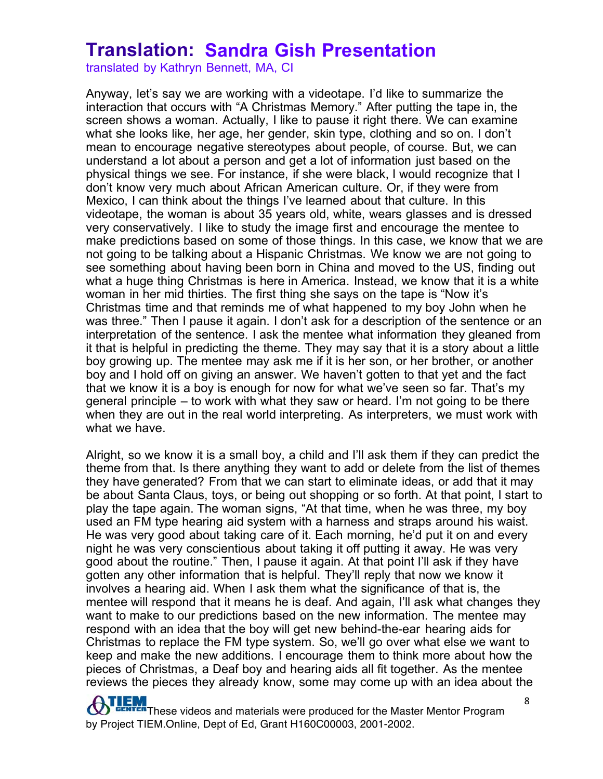translated by Kathryn Bennett, MA, CI

Anyway, let's say we are working with a videotape. I'd like to summarize the interaction that occurs with "A Christmas Memory." After putting the tape in, the screen shows a woman. Actually, I like to pause it right there. We can examine what she looks like, her age, her gender, skin type, clothing and so on. I don't mean to encourage negative stereotypes about people, of course. But, we can understand a lot about a person and get a lot of information just based on the physical things we see. For instance, if she were black, I would recognize that I don't know very much about African American culture. Or, if they were from Mexico, I can think about the things I've learned about that culture. In this videotape, the woman is about 35 years old, white, wears glasses and is dressed very conservatively. I like to study the image first and encourage the mentee to make predictions based on some of those things. In this case, we know that we are not going to be talking about a Hispanic Christmas. We know we are not going to see something about having been born in China and moved to the US, finding out what a huge thing Christmas is here in America. Instead, we know that it is a white woman in her mid thirties. The first thing she says on the tape is "Now it's Christmas time and that reminds me of what happened to my boy John when he was three." Then I pause it again. I don't ask for a description of the sentence or an interpretation of the sentence. I ask the mentee what information they gleaned from it that is helpful in predicting the theme. They may say that it is a story about a little boy growing up. The mentee may ask me if it is her son, or her brother, or another boy and I hold off on giving an answer. We haven't gotten to that yet and the fact that we know it is a boy is enough for now for what we've seen so far. That's my general principle – to work with what they saw or heard. I'm not going to be there when they are out in the real world interpreting. As interpreters, we must work with what we have.

Alright, so we know it is a small boy, a child and I'll ask them if they can predict the theme from that. Is there anything they want to add or delete from the list of themes they have generated? From that we can start to eliminate ideas, or add that it may be about Santa Claus, toys, or being out shopping or so forth. At that point, I start to play the tape again. The woman signs, "At that time, when he was three, my boy used an FM type hearing aid system with a harness and straps around his waist. He was very good about taking care of it. Each morning, he'd put it on and every night he was very conscientious about taking it off putting it away. He was very good about the routine." Then, I pause it again. At that point I'll ask if they have gotten any other information that is helpful. They'll reply that now we know it involves a hearing aid. When I ask them what the significance of that is, the mentee will respond that it means he is deaf. And again, I'll ask what changes they want to make to our predictions based on the new information. The mentee may respond with an idea that the boy will get new behind-the-ear hearing aids for Christmas to replace the FM type system. So, we'll go over what else we want to keep and make the new additions. I encourage them to think more about how the pieces of Christmas, a Deaf boy and hearing aids all fit together. As the mentee reviews the pieces they already know, some may come up with an idea about the

THEM These videos and materials were produced for the Master Mentor Program ₩ by Project TIEM.Online, Dept of Ed, Grant H160C00003, 2001-2002.

8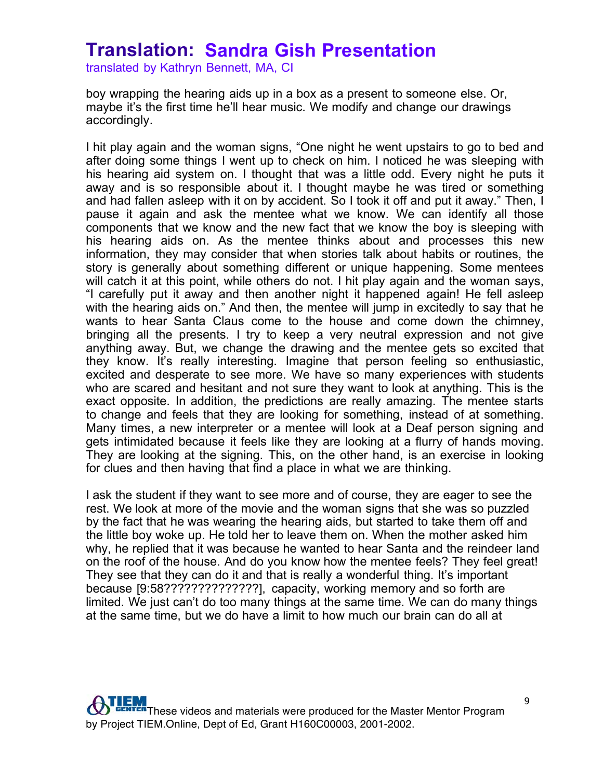translated by Kathryn Bennett, MA, CI

boy wrapping the hearing aids up in a box as a present to someone else. Or, maybe it's the first time he'll hear music. We modify and change our drawings accordingly.

I hit play again and the woman signs, "One night he went upstairs to go to bed and after doing some things I went up to check on him. I noticed he was sleeping with his hearing aid system on. I thought that was a little odd. Every night he puts it away and is so responsible about it. I thought maybe he was tired or something and had fallen asleep with it on by accident. So I took it off and put it away." Then, I pause it again and ask the mentee what we know. We can identify all those components that we know and the new fact that we know the boy is sleeping with his hearing aids on. As the mentee thinks about and processes this new information, they may consider that when stories talk about habits or routines, the story is generally about something different or unique happening. Some mentees will catch it at this point, while others do not. I hit play again and the woman says, "I carefully put it away and then another night it happened again! He fell asleep with the hearing aids on." And then, the mentee will jump in excitedly to say that he wants to hear Santa Claus come to the house and come down the chimney, bringing all the presents. I try to keep a very neutral expression and not give anything away. But, we change the drawing and the mentee gets so excited that they know. It's really interesting. Imagine that person feeling so enthusiastic, excited and desperate to see more. We have so many experiences with students who are scared and hesitant and not sure they want to look at anything. This is the exact opposite. In addition, the predictions are really amazing. The mentee starts to change and feels that they are looking for something, instead of at something. Many times, a new interpreter or a mentee will look at a Deaf person signing and gets intimidated because it feels like they are looking at a flurry of hands moving. They are looking at the signing. This, on the other hand, is an exercise in looking for clues and then having that find a place in what we are thinking.

I ask the student if they want to see more and of course, they are eager to see the rest. We look at more of the movie and the woman signs that she was so puzzled by the fact that he was wearing the hearing aids, but started to take them off and the little boy woke up. He told her to leave them on. When the mother asked him why, he replied that it was because he wanted to hear Santa and the reindeer land on the roof of the house. And do you know how the mentee feels? They feel great! They see that they can do it and that is really a wonderful thing. It's important because [9:58??????????????], capacity, working memory and so forth are limited. We just can't do too many things at the same time. We can do many things at the same time, but we do have a limit to how much our brain can do all at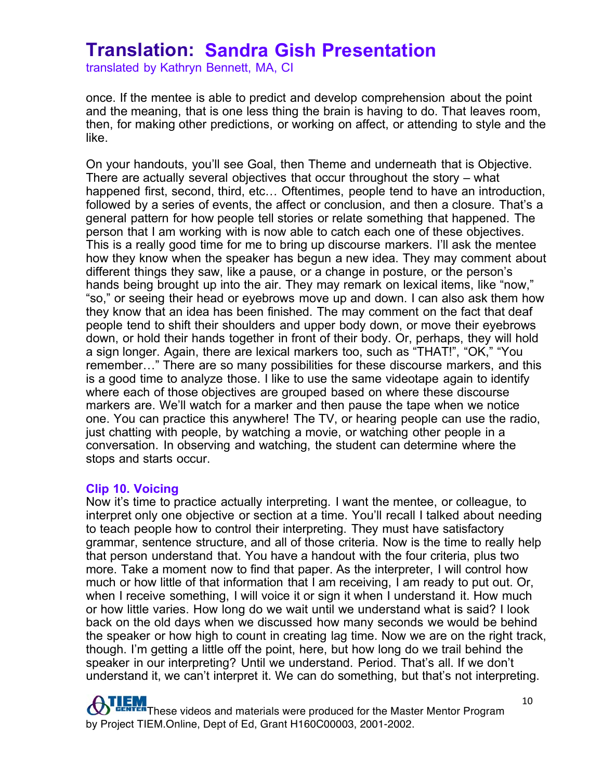translated by Kathryn Bennett, MA, CI

once. If the mentee is able to predict and develop comprehension about the point and the meaning, that is one less thing the brain is having to do. That leaves room, then, for making other predictions, or working on affect, or attending to style and the like.

On your handouts, you'll see Goal, then Theme and underneath that is Objective. There are actually several objectives that occur throughout the story – what happened first, second, third, etc... Oftentimes, people tend to have an introduction, followed by a series of events, the affect or conclusion, and then a closure. That's a general pattern for how people tell stories or relate something that happened. The person that I am working with is now able to catch each one of these objectives. This is a really good time for me to bring up discourse markers. I'll ask the mentee how they know when the speaker has begun a new idea. They may comment about different things they saw, like a pause, or a change in posture, or the person's hands being brought up into the air. They may remark on lexical items, like "now," "so," or seeing their head or eyebrows move up and down. I can also ask them how they know that an idea has been finished. The may comment on the fact that deaf people tend to shift their shoulders and upper body down, or move their eyebrows down, or hold their hands together in front of their body. Or, perhaps, they will hold a sign longer. Again, there are lexical markers too, such as "THAT!", "OK," "You remember…" There are so many possibilities for these discourse markers, and this is a good time to analyze those. I like to use the same videotape again to identify where each of those objectives are grouped based on where these discourse markers are. We'll watch for a marker and then pause the tape when we notice one. You can practice this anywhere! The TV, or hearing people can use the radio, just chatting with people, by watching a movie, or watching other people in a conversation. In observing and watching, the student can determine where the stops and starts occur.

#### **Clip 10. Voicing**

Now it's time to practice actually interpreting. I want the mentee, or colleague, to interpret only one objective or section at a time. You'll recall I talked about needing to teach people how to control their interpreting. They must have satisfactory grammar, sentence structure, and all of those criteria. Now is the time to really help that person understand that. You have a handout with the four criteria, plus two more. Take a moment now to find that paper. As the interpreter, I will control how much or how little of that information that I am receiving, I am ready to put out. Or, when I receive something, I will voice it or sign it when I understand it. How much or how little varies. How long do we wait until we understand what is said? I look back on the old days when we discussed how many seconds we would be behind the speaker or how high to count in creating lag time. Now we are on the right track, though. I'm getting a little off the point, here, but how long do we trail behind the speaker in our interpreting? Until we understand. Period. That's all. If we don't understand it, we can't interpret it. We can do something, but that's not interpreting.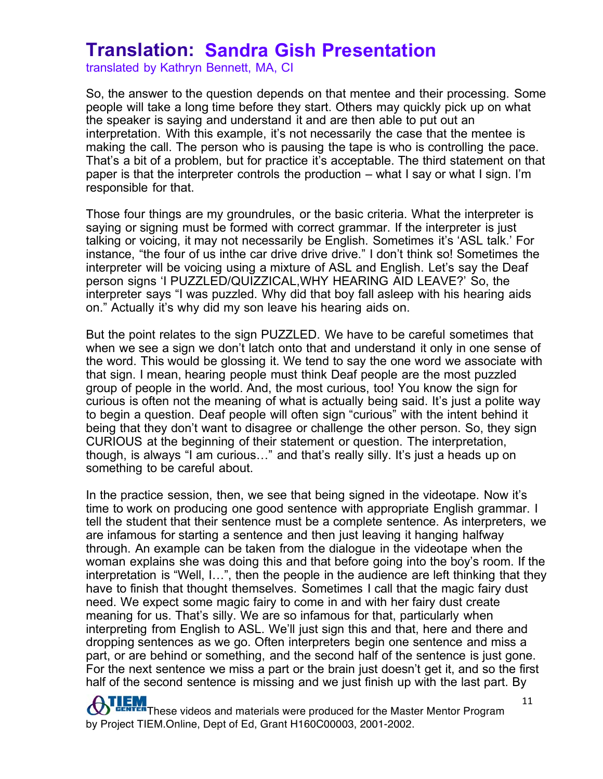translated by Kathryn Bennett, MA, CI

So, the answer to the question depends on that mentee and their processing. Some people will take a long time before they start. Others may quickly pick up on what the speaker is saying and understand it and are then able to put out an interpretation. With this example, it's not necessarily the case that the mentee is making the call. The person who is pausing the tape is who is controlling the pace. That's a bit of a problem, but for practice it's acceptable. The third statement on that paper is that the interpreter controls the production – what I say or what I sign. I'm responsible for that.

Those four things are my groundrules, or the basic criteria. What the interpreter is saying or signing must be formed with correct grammar. If the interpreter is just talking or voicing, it may not necessarily be English. Sometimes it's 'ASL talk.' For instance, "the four of us inthe car drive drive drive." I don't think so! Sometimes the interpreter will be voicing using a mixture of ASL and English. Let's say the Deaf person signs 'I PUZZLED/QUIZZICAL,WHY HEARING AID LEAVE?' So, the interpreter says "I was puzzled. Why did that boy fall asleep with his hearing aids on." Actually it's why did my son leave his hearing aids on.

But the point relates to the sign PUZZLED. We have to be careful sometimes that when we see a sign we don't latch onto that and understand it only in one sense of the word. This would be glossing it. We tend to say the one word we associate with that sign. I mean, hearing people must think Deaf people are the most puzzled group of people in the world. And, the most curious, too! You know the sign for curious is often not the meaning of what is actually being said. It's just a polite way to begin a question. Deaf people will often sign "curious" with the intent behind it being that they don't want to disagree or challenge the other person. So, they sign CURIOUS at the beginning of their statement or question. The interpretation, though, is always "I am curious…" and that's really silly. It's just a heads up on something to be careful about.

In the practice session, then, we see that being signed in the videotape. Now it's time to work on producing one good sentence with appropriate English grammar. I tell the student that their sentence must be a complete sentence. As interpreters, we are infamous for starting a sentence and then just leaving it hanging halfway through. An example can be taken from the dialogue in the videotape when the woman explains she was doing this and that before going into the boy's room. If the interpretation is "Well, I…", then the people in the audience are left thinking that they have to finish that thought themselves. Sometimes I call that the magic fairy dust need. We expect some magic fairy to come in and with her fairy dust create meaning for us. That's silly. We are so infamous for that, particularly when interpreting from English to ASL. We'll just sign this and that, here and there and dropping sentences as we go. Often interpreters begin one sentence and miss a part, or are behind or something, and the second half of the sentence is just gone. For the next sentence we miss a part or the brain just doesn't get it, and so the first half of the second sentence is missing and we just finish up with the last part. By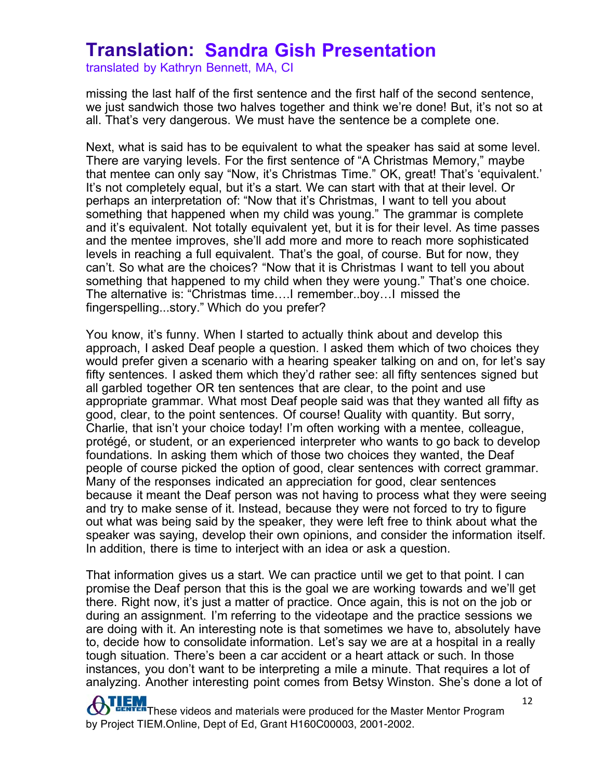translated by Kathryn Bennett, MA, CI

missing the last half of the first sentence and the first half of the second sentence, we just sandwich those two halves together and think we're done! But, it's not so at all. That's very dangerous. We must have the sentence be a complete one.

Next, what is said has to be equivalent to what the speaker has said at some level. There are varying levels. For the first sentence of "A Christmas Memory," maybe that mentee can only say "Now, it's Christmas Time." OK, great! That's 'equivalent.' It's not completely equal, but it's a start. We can start with that at their level. Or perhaps an interpretation of: "Now that it's Christmas, I want to tell you about something that happened when my child was young." The grammar is complete and it's equivalent. Not totally equivalent yet, but it is for their level. As time passes and the mentee improves, she'll add more and more to reach more sophisticated levels in reaching a full equivalent. That's the goal, of course. But for now, they can't. So what are the choices? "Now that it is Christmas I want to tell you about something that happened to my child when they were young." That's one choice. The alternative is: "Christmas time….I remember..boy…I missed the fingerspelling...story." Which do you prefer?

You know, it's funny. When I started to actually think about and develop this approach, I asked Deaf people a question. I asked them which of two choices they would prefer given a scenario with a hearing speaker talking on and on, for let's say fifty sentences. I asked them which they'd rather see: all fifty sentences signed but all garbled together OR ten sentences that are clear, to the point and use appropriate grammar. What most Deaf people said was that they wanted all fifty as good, clear, to the point sentences. Of course! Quality with quantity. But sorry, Charlie, that isn't your choice today! I'm often working with a mentee, colleague, protégé, or student, or an experienced interpreter who wants to go back to develop foundations. In asking them which of those two choices they wanted, the Deaf people of course picked the option of good, clear sentences with correct grammar. Many of the responses indicated an appreciation for good, clear sentences because it meant the Deaf person was not having to process what they were seeing and try to make sense of it. Instead, because they were not forced to try to figure out what was being said by the speaker, they were left free to think about what the speaker was saying, develop their own opinions, and consider the information itself. In addition, there is time to interject with an idea or ask a question.

That information gives us a start. We can practice until we get to that point. I can promise the Deaf person that this is the goal we are working towards and we'll get there. Right now, it's just a matter of practice. Once again, this is not on the job or during an assignment. I'm referring to the videotape and the practice sessions we are doing with it. An interesting note is that sometimes we have to, absolutely have to, decide how to consolidate information. Let's say we are at a hospital in a really tough situation. There's been a car accident or a heart attack or such. In those instances, you don't want to be interpreting a mile a minute. That requires a lot of analyzing. Another interesting point comes from Betsy Winston. She's done a lot of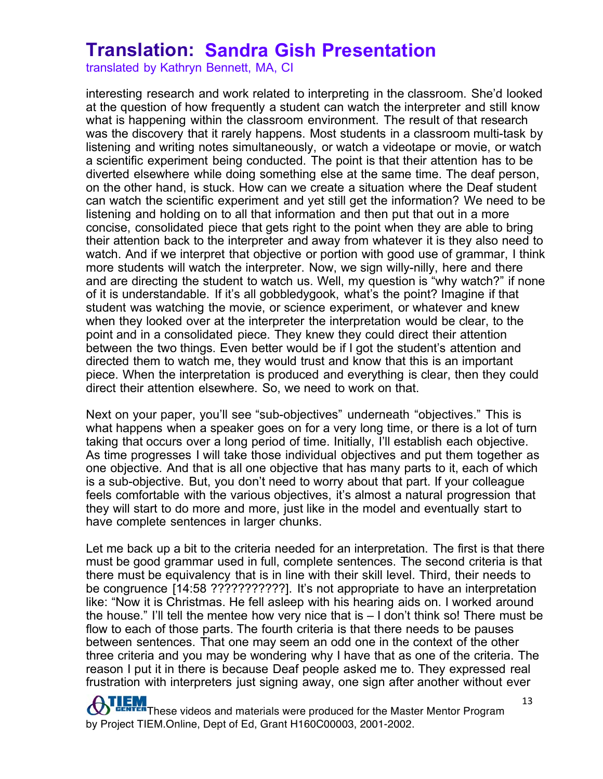translated by Kathryn Bennett, MA, CI

interesting research and work related to interpreting in the classroom. She'd looked at the question of how frequently a student can watch the interpreter and still know what is happening within the classroom environment. The result of that research was the discovery that it rarely happens. Most students in a classroom multi-task by listening and writing notes simultaneously, or watch a videotape or movie, or watch a scientific experiment being conducted. The point is that their attention has to be diverted elsewhere while doing something else at the same time. The deaf person, on the other hand, is stuck. How can we create a situation where the Deaf student can watch the scientific experiment and yet still get the information? We need to be listening and holding on to all that information and then put that out in a more concise, consolidated piece that gets right to the point when they are able to bring their attention back to the interpreter and away from whatever it is they also need to watch. And if we interpret that objective or portion with good use of grammar, I think more students will watch the interpreter. Now, we sign willy-nilly, here and there and are directing the student to watch us. Well, my question is "why watch?" if none of it is understandable. If it's all gobbledygook, what's the point? Imagine if that student was watching the movie, or science experiment, or whatever and knew when they looked over at the interpreter the interpretation would be clear, to the point and in a consolidated piece. They knew they could direct their attention between the two things. Even better would be if I got the student's attention and directed them to watch me, they would trust and know that this is an important piece. When the interpretation is produced and everything is clear, then they could direct their attention elsewhere. So, we need to work on that.

Next on your paper, you'll see "sub-objectives" underneath "objectives." This is what happens when a speaker goes on for a very long time, or there is a lot of turn taking that occurs over a long period of time. Initially, I'll establish each objective. As time progresses I will take those individual objectives and put them together as one objective. And that is all one objective that has many parts to it, each of which is a sub-objective. But, you don't need to worry about that part. If your colleague feels comfortable with the various objectives, it's almost a natural progression that they will start to do more and more, just like in the model and eventually start to have complete sentences in larger chunks.

Let me back up a bit to the criteria needed for an interpretation. The first is that there must be good grammar used in full, complete sentences. The second criteria is that there must be equivalency that is in line with their skill level. Third, their needs to be congruence [14:58 ???????????]. It's not appropriate to have an interpretation like: "Now it is Christmas. He fell asleep with his hearing aids on. I worked around the house." I'll tell the mentee how very nice that is – I don't think so! There must be flow to each of those parts. The fourth criteria is that there needs to be pauses between sentences. That one may seem an odd one in the context of the other three criteria and you may be wondering why I have that as one of the criteria. The reason I put it in there is because Deaf people asked me to. They expressed real frustration with interpreters just signing away, one sign after another without ever